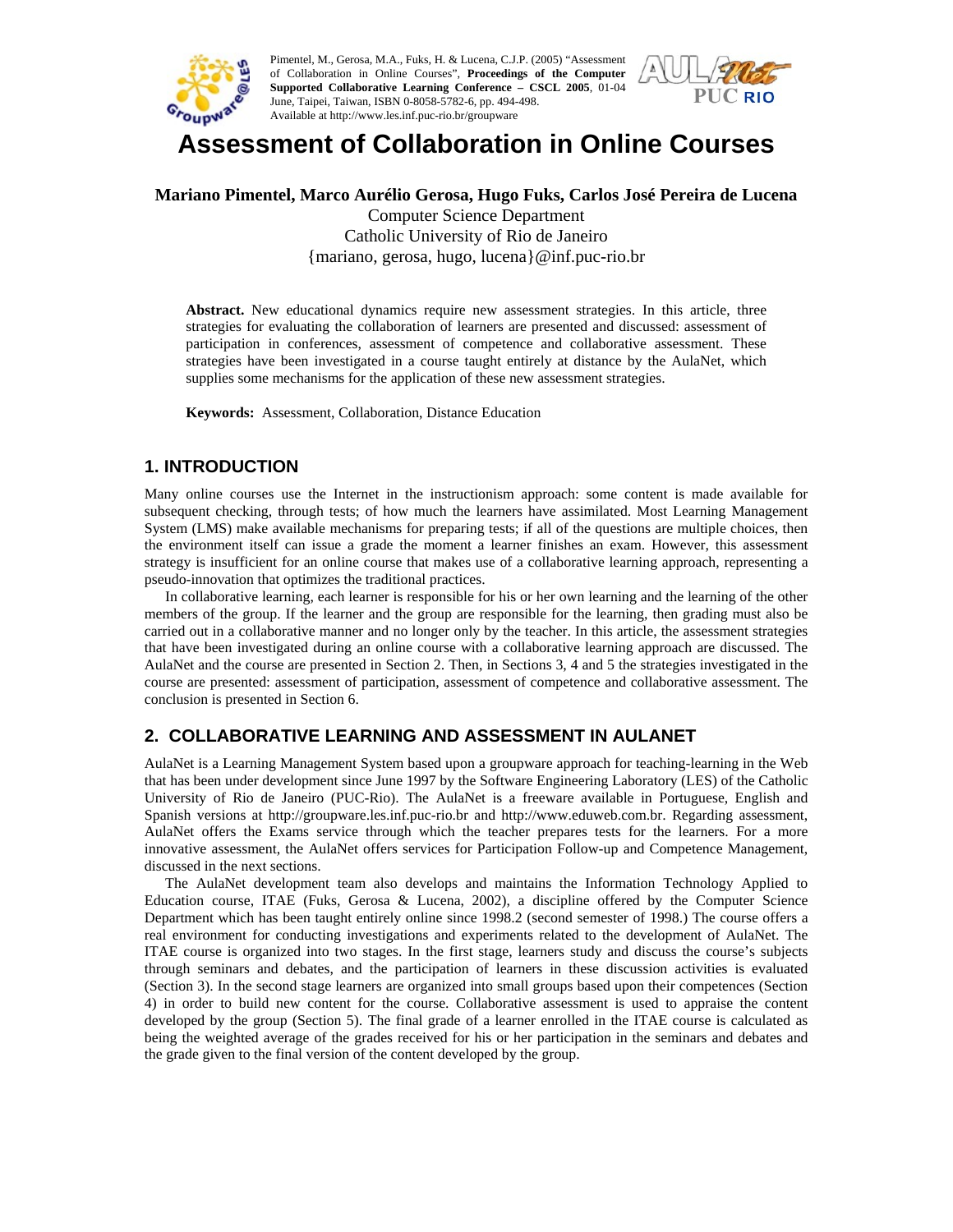

Pimentel, M., Gerosa, M.A., Fuks, H. & Lucena, C.J.P. (2005) "Assessment of Collaboration in Online Courses", **Proceedings of the Computer Supported Collaborative Learning Conference – CSCL 2005**, 01-04 June, Taipei, Taiwan, ISBN 0-8058-5782-6, pp. 494-498. Available at http://www.les.inf.puc-rio.br/groupware



# **Assessment of Collaboration in Online Courses**

#### **Mariano Pimentel, Marco Aurélio Gerosa, Hugo Fuks, Carlos José Pereira de Lucena**

Computer Science Department Catholic University of Rio de Janeiro {mariano, gerosa, hugo, lucena}@inf.puc-rio.br

**Abstract.** New educational dynamics require new assessment strategies. In this article, three strategies for evaluating the collaboration of learners are presented and discussed: assessment of participation in conferences, assessment of competence and collaborative assessment. These strategies have been investigated in a course taught entirely at distance by the AulaNet, which supplies some mechanisms for the application of these new assessment strategies.

**Keywords:** Assessment, Collaboration, Distance Education

## **1. INTRODUCTION**

Many online courses use the Internet in the instructionism approach: some content is made available for subsequent checking, through tests; of how much the learners have assimilated. Most Learning Management System (LMS) make available mechanisms for preparing tests; if all of the questions are multiple choices, then the environment itself can issue a grade the moment a learner finishes an exam. However, this assessment strategy is insufficient for an online course that makes use of a collaborative learning approach, representing a pseudo-innovation that optimizes the traditional practices.

In collaborative learning, each learner is responsible for his or her own learning and the learning of the other members of the group. If the learner and the group are responsible for the learning, then grading must also be carried out in a collaborative manner and no longer only by the teacher. In this article, the assessment strategies that have been investigated during an online course with a collaborative learning approach are discussed. The AulaNet and the course are presented in Section 2. Then, in Sections 3, 4 and 5 the strategies investigated in the course are presented: assessment of participation, assessment of competence and collaborative assessment. The conclusion is presented in Section 6.

# **2. COLLABORATIVE LEARNING AND ASSESSMENT IN AULANET**

AulaNet is a Learning Management System based upon a groupware approach for teaching-learning in the Web that has been under development since June 1997 by the Software Engineering Laboratory (LES) of the Catholic University of Rio de Janeiro (PUC-Rio). The AulaNet is a freeware available in Portuguese, English and Spanish versions at http://groupware.les.inf.puc-rio.br and http://www.eduweb.com.br. Regarding assessment, AulaNet offers the Exams service through which the teacher prepares tests for the learners. For a more innovative assessment, the AulaNet offers services for Participation Follow-up and Competence Management, discussed in the next sections.

The AulaNet development team also develops and maintains the Information Technology Applied to Education course, ITAE (Fuks, Gerosa & Lucena, 2002), a discipline offered by the Computer Science Department which has been taught entirely online since 1998.2 (second semester of 1998.) The course offers a real environment for conducting investigations and experiments related to the development of AulaNet. The ITAE course is organized into two stages. In the first stage, learners study and discuss the course's subjects through seminars and debates, and the participation of learners in these discussion activities is evaluated (Section 3). In the second stage learners are organized into small groups based upon their competences (Section 4) in order to build new content for the course. Collaborative assessment is used to appraise the content developed by the group (Section 5). The final grade of a learner enrolled in the ITAE course is calculated as being the weighted average of the grades received for his or her participation in the seminars and debates and the grade given to the final version of the content developed by the group.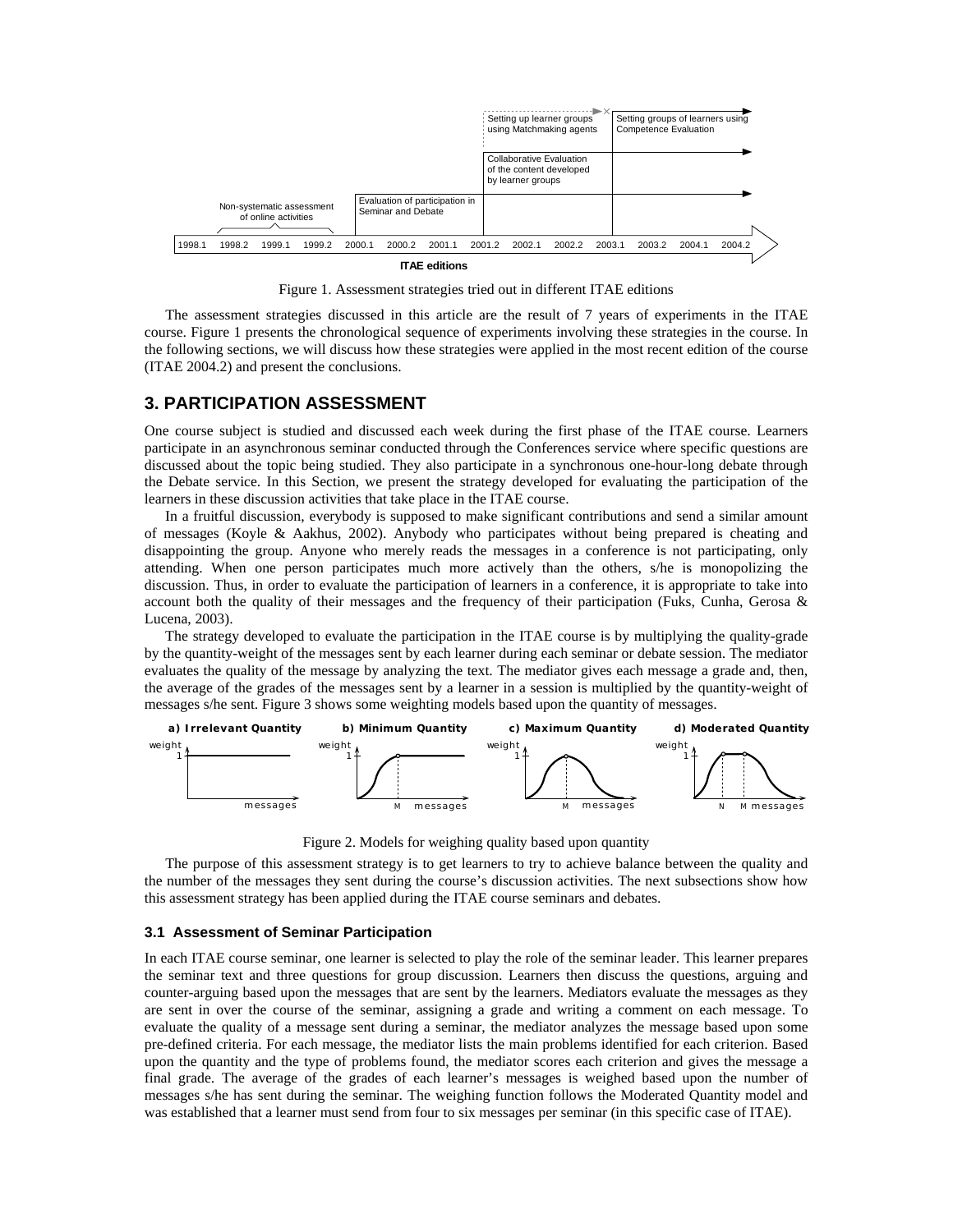

Figure 1. Assessment strategies tried out in different ITAE editions

The assessment strategies discussed in this article are the result of 7 years of experiments in the ITAE course. Figure 1 presents the chronological sequence of experiments involving these strategies in the course. In the following sections, we will discuss how these strategies were applied in the most recent edition of the course (ITAE 2004.2) and present the conclusions.

## **3. PARTICIPATION ASSESSMENT**

One course subject is studied and discussed each week during the first phase of the ITAE course. Learners participate in an asynchronous seminar conducted through the Conferences service where specific questions are discussed about the topic being studied. They also participate in a synchronous one-hour-long debate through the Debate service. In this Section, we present the strategy developed for evaluating the participation of the learners in these discussion activities that take place in the ITAE course.

In a fruitful discussion, everybody is supposed to make significant contributions and send a similar amount of messages (Koyle & Aakhus, 2002). Anybody who participates without being prepared is cheating and disappointing the group. Anyone who merely reads the messages in a conference is not participating, only attending. When one person participates much more actively than the others, s/he is monopolizing the discussion. Thus, in order to evaluate the participation of learners in a conference, it is appropriate to take into account both the quality of their messages and the frequency of their participation (Fuks, Cunha, Gerosa & Lucena, 2003).

The strategy developed to evaluate the participation in the ITAE course is by multiplying the quality-grade by the quantity-weight of the messages sent by each learner during each seminar or debate session. The mediator evaluates the quality of the message by analyzing the text. The mediator gives each message a grade and, then, the average of the grades of the messages sent by a learner in a session is multiplied by the quantity-weight of messages s/he sent. Figure 3 shows some weighting models based upon the quantity of messages.



Figure 2. Models for weighing quality based upon quantity

The purpose of this assessment strategy is to get learners to try to achieve balance between the quality and the number of the messages they sent during the course's discussion activities. The next subsections show how this assessment strategy has been applied during the ITAE course seminars and debates.

#### **3.1 Assessment of Seminar Participation**

In each ITAE course seminar, one learner is selected to play the role of the seminar leader. This learner prepares the seminar text and three questions for group discussion. Learners then discuss the questions, arguing and counter-arguing based upon the messages that are sent by the learners. Mediators evaluate the messages as they are sent in over the course of the seminar, assigning a grade and writing a comment on each message. To evaluate the quality of a message sent during a seminar, the mediator analyzes the message based upon some pre-defined criteria. For each message, the mediator lists the main problems identified for each criterion. Based upon the quantity and the type of problems found, the mediator scores each criterion and gives the message a final grade. The average of the grades of each learner's messages is weighed based upon the number of messages s/he has sent during the seminar. The weighing function follows the Moderated Quantity model and was established that a learner must send from four to six messages per seminar (in this specific case of ITAE).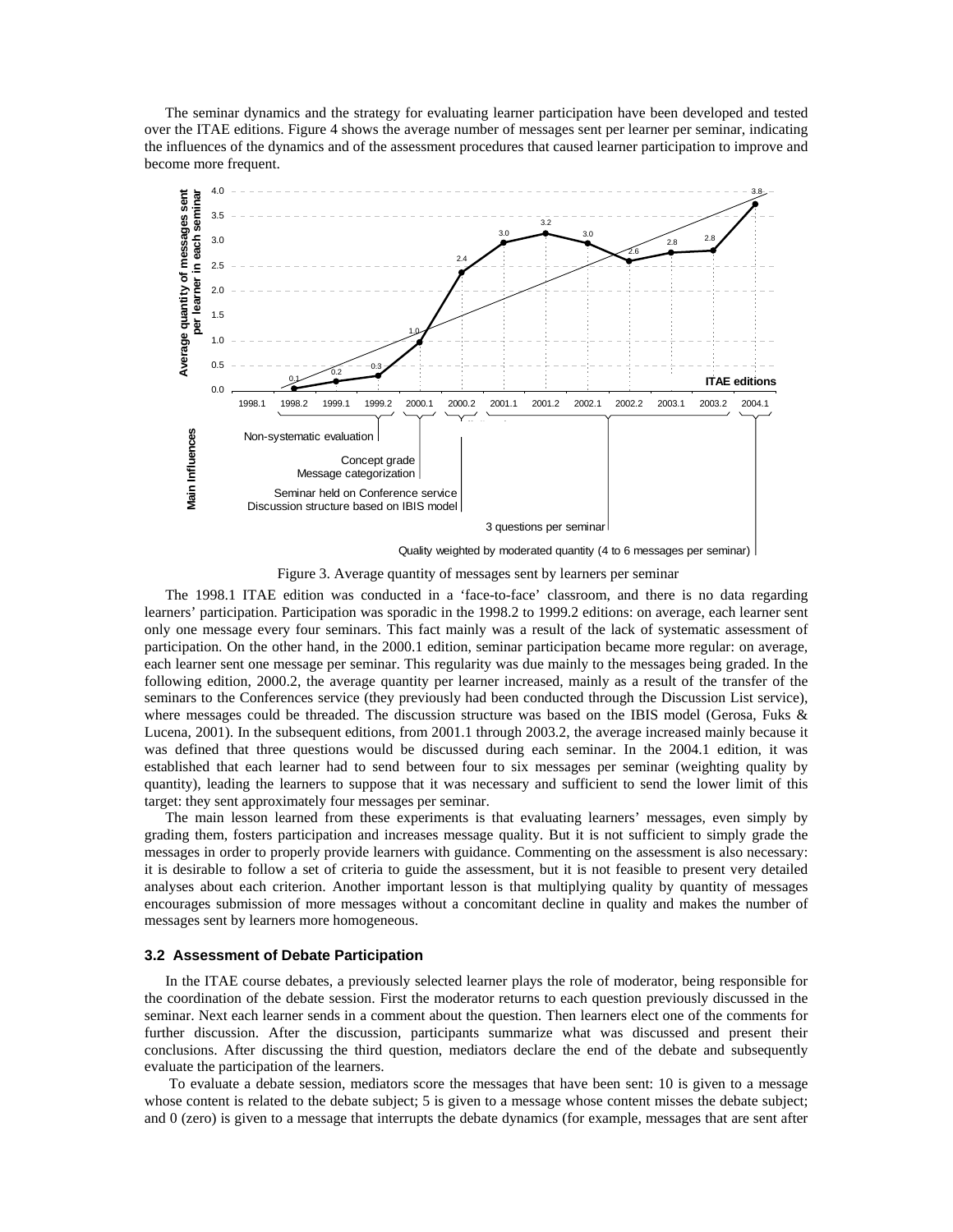The seminar dynamics and the strategy for evaluating learner participation have been developed and tested over the ITAE editions. Figure 4 shows the average number of messages sent per learner per seminar, indicating the influences of the dynamics and of the assessment procedures that caused learner participation to improve and become more frequent.



Quality weighted by moderated quantity (4 to 6 messages per seminar)

Figure 3. Average quantity of messages sent by learners per seminar

The 1998.1 ITAE edition was conducted in a 'face-to-face' classroom, and there is no data regarding learners' participation. Participation was sporadic in the 1998.2 to 1999.2 editions: on average, each learner sent only one message every four seminars. This fact mainly was a result of the lack of systematic assessment of participation. On the other hand, in the 2000.1 edition, seminar participation became more regular: on average, each learner sent one message per seminar. This regularity was due mainly to the messages being graded. In the following edition, 2000.2, the average quantity per learner increased, mainly as a result of the transfer of the seminars to the Conferences service (they previously had been conducted through the Discussion List service), where messages could be threaded. The discussion structure was based on the IBIS model (Gerosa, Fuks & Lucena, 2001). In the subsequent editions, from 2001.1 through 2003.2, the average increased mainly because it was defined that three questions would be discussed during each seminar. In the 2004.1 edition, it was established that each learner had to send between four to six messages per seminar (weighting quality by quantity), leading the learners to suppose that it was necessary and sufficient to send the lower limit of this target: they sent approximately four messages per seminar.

The main lesson learned from these experiments is that evaluating learners' messages, even simply by grading them, fosters participation and increases message quality. But it is not sufficient to simply grade the messages in order to properly provide learners with guidance. Commenting on the assessment is also necessary: it is desirable to follow a set of criteria to guide the assessment, but it is not feasible to present very detailed analyses about each criterion. Another important lesson is that multiplying quality by quantity of messages encourages submission of more messages without a concomitant decline in quality and makes the number of messages sent by learners more homogeneous.

#### **3.2 Assessment of Debate Participation**

In the ITAE course debates, a previously selected learner plays the role of moderator, being responsible for the coordination of the debate session. First the moderator returns to each question previously discussed in the seminar. Next each learner sends in a comment about the question. Then learners elect one of the comments for further discussion. After the discussion, participants summarize what was discussed and present their conclusions. After discussing the third question, mediators declare the end of the debate and subsequently evaluate the participation of the learners.

 To evaluate a debate session, mediators score the messages that have been sent: 10 is given to a message whose content is related to the debate subject; 5 is given to a message whose content misses the debate subject; and 0 (zero) is given to a message that interrupts the debate dynamics (for example, messages that are sent after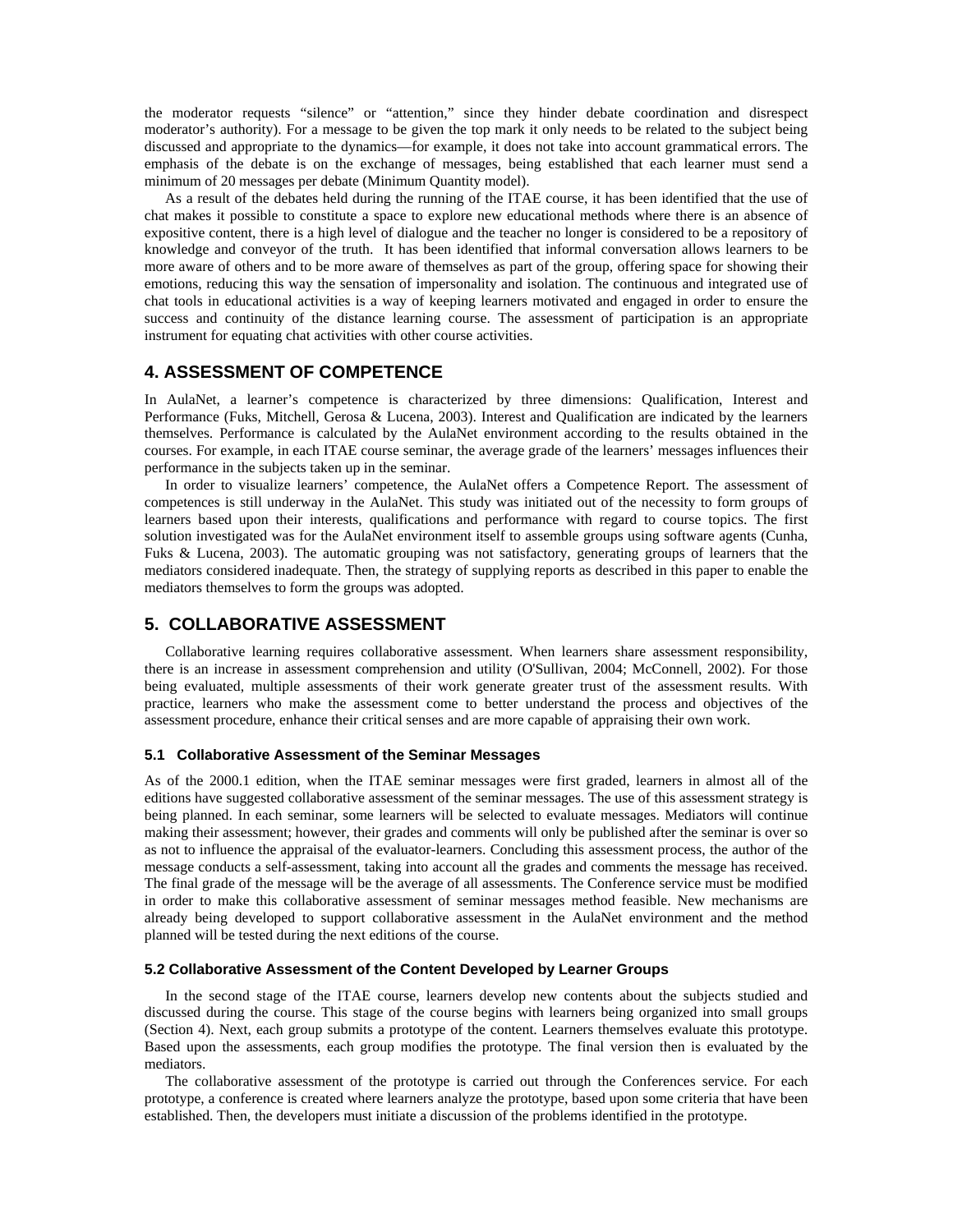the moderator requests "silence" or "attention," since they hinder debate coordination and disrespect moderator's authority). For a message to be given the top mark it only needs to be related to the subject being discussed and appropriate to the dynamics—for example, it does not take into account grammatical errors. The emphasis of the debate is on the exchange of messages, being established that each learner must send a minimum of 20 messages per debate (Minimum Quantity model).

As a result of the debates held during the running of the ITAE course, it has been identified that the use of chat makes it possible to constitute a space to explore new educational methods where there is an absence of expositive content, there is a high level of dialogue and the teacher no longer is considered to be a repository of knowledge and conveyor of the truth. It has been identified that informal conversation allows learners to be more aware of others and to be more aware of themselves as part of the group, offering space for showing their emotions, reducing this way the sensation of impersonality and isolation. The continuous and integrated use of chat tools in educational activities is a way of keeping learners motivated and engaged in order to ensure the success and continuity of the distance learning course. The assessment of participation is an appropriate instrument for equating chat activities with other course activities.

# **4. ASSESSMENT OF COMPETENCE**

In AulaNet, a learner's competence is characterized by three dimensions: Qualification, Interest and Performance (Fuks, Mitchell, Gerosa & Lucena, 2003). Interest and Qualification are indicated by the learners themselves. Performance is calculated by the AulaNet environment according to the results obtained in the courses. For example, in each ITAE course seminar, the average grade of the learners' messages influences their performance in the subjects taken up in the seminar.

In order to visualize learners' competence, the AulaNet offers a Competence Report. The assessment of competences is still underway in the AulaNet. This study was initiated out of the necessity to form groups of learners based upon their interests, qualifications and performance with regard to course topics. The first solution investigated was for the AulaNet environment itself to assemble groups using software agents (Cunha, Fuks & Lucena, 2003). The automatic grouping was not satisfactory, generating groups of learners that the mediators considered inadequate. Then, the strategy of supplying reports as described in this paper to enable the mediators themselves to form the groups was adopted.

## **5. COLLABORATIVE ASSESSMENT**

Collaborative learning requires collaborative assessment. When learners share assessment responsibility, there is an increase in assessment comprehension and utility (O'Sullivan, 2004; McConnell, 2002). For those being evaluated, multiple assessments of their work generate greater trust of the assessment results. With practice, learners who make the assessment come to better understand the process and objectives of the assessment procedure, enhance their critical senses and are more capable of appraising their own work.

#### **5.1 Collaborative Assessment of the Seminar Messages**

As of the 2000.1 edition, when the ITAE seminar messages were first graded, learners in almost all of the editions have suggested collaborative assessment of the seminar messages. The use of this assessment strategy is being planned. In each seminar, some learners will be selected to evaluate messages. Mediators will continue making their assessment; however, their grades and comments will only be published after the seminar is over so as not to influence the appraisal of the evaluator-learners. Concluding this assessment process, the author of the message conducts a self-assessment, taking into account all the grades and comments the message has received. The final grade of the message will be the average of all assessments. The Conference service must be modified in order to make this collaborative assessment of seminar messages method feasible. New mechanisms are already being developed to support collaborative assessment in the AulaNet environment and the method planned will be tested during the next editions of the course.

#### **5.2 Collaborative Assessment of the Content Developed by Learner Groups**

In the second stage of the ITAE course, learners develop new contents about the subjects studied and discussed during the course. This stage of the course begins with learners being organized into small groups (Section 4). Next, each group submits a prototype of the content. Learners themselves evaluate this prototype. Based upon the assessments, each group modifies the prototype. The final version then is evaluated by the mediators.

The collaborative assessment of the prototype is carried out through the Conferences service. For each prototype, a conference is created where learners analyze the prototype, based upon some criteria that have been established. Then, the developers must initiate a discussion of the problems identified in the prototype.